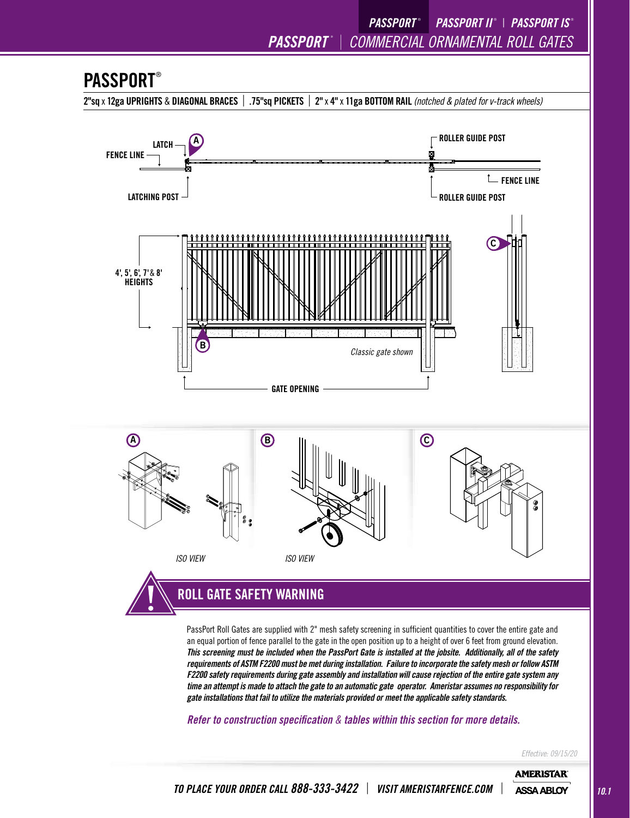*PASSPORT* ® <sup>|</sup> *COMMERCIAL ORNAMENTAL ROLL GATES PASSPORT* ®

 *PASSPORT II* ® | *PASSPORT IS* ®

### **PASSPORT®**

2"sq x 12ga UPRIGHTS & DIAGONAL BRACES | .75"sq PICKETS | 2" x 4" x 11ga BOTTOM RAIL *(notched & plated for v-track wheels)* 



PassPort Roll Gates are supplied with 2" mesh safety screening in sufficient quantities to cover the entire gate and an equal portion of fence parallel to the gate in the open position up to a height of over 6 feet from ground elevation. *This screening must be included when the PassPort Gate is installed at the jobsite. Additionally, all of the safety requirements of ASTM F2200 must be met during installation. Failure to incorporate the safety mesh or follow ASTM F2200 safety requirements during gate assembly and installation will cause rejection of the entire gate system any time an attempt is made to attach the gate to an automatic gate operator. Ameristar assumes no responsibility for gate installations that fail to utilize the materials provided or meet the applicable safety standards.* 

*Refer to construction specification & tables within this section for more details.*

*Effective: 09/15/20*

**AMERISTAR**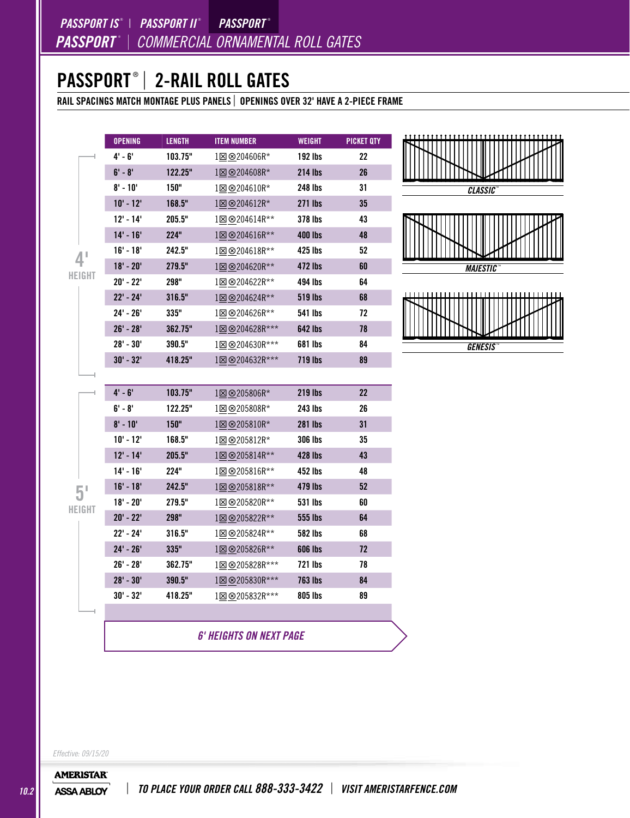*PASSPORT* ® <sup>|</sup> *COMMERCIAL ORNAMENTAL ROLL GATES PASSPORT IS* ® | *PASSPORT II* ®  *PASSPORT* ®

### PASSPORT® | 2-RAIL ROLL GATES

RAIL SPACINGS MATCH MONTAGE PLUS PANELS | OPENINGS OVER 32' HAVE A 2-PIECE FRAME

|                | <b>OPENING</b> | <b>LENGTH</b> | <b>ITEM NUMBER</b>             | <b>WEIGHT</b>  | <b>PICKET QTY</b> |
|----------------|----------------|---------------|--------------------------------|----------------|-------------------|
|                | 4' - 6'        | 103.75"       | 1⊠⊗204606R*                    | 192 lbs        | 22                |
|                | $6' - 8'$      | 122.25"       | 1図 <sup>8204608R*</sup>        | <b>214 lbs</b> | 26                |
|                | $8' - 10'$     | 150"          | 1図 8204610R*                   | 248 lbs        | 31                |
|                | $10' - 12'$    | 168.5"        | 1⊠⊗204612R*                    | 271 lbs        | 35                |
|                | $12' - 14'$    | 205.5"        | 1⊠⊗204614R**                   | 378 lbs        | 43                |
|                | $14' - 16'$    | 224"          | 1図 <sup>⊗204616R**</sup>       | <b>400 lbs</b> | 48                |
| 4 <sup>1</sup> | $16' - 18'$    | 242.5"        | 1⊠ ⊗204618R**                  | 425 lbs        | 52                |
|                | $18' - 20'$    | 279.5"        | 1図 8204620R**                  | 472 lbs        | 60                |
| HEIGHT         | $20' - 22'$    | 298"          | 1⊠ <sup>⊗204622R**</sup>       | 494 lbs        | 64                |
|                | $22' - 24'$    | 316.5"        | 1⊠ ⊗204624R**                  | <b>519 lbs</b> | 68                |
|                | 24' - 26'      | 335"          | 180204626R**                   | 541 lbs        | 72                |
|                | $26' - 28'$    | 362.75"       | 1図 8204628R***                 | <b>642 lbs</b> | 78                |
|                | $28' - 30'$    | 390.5"        | 180204630R***                  | 681 lbs        | 84                |
|                | $30' - 32'$    | 418.25"       | 188204632R***                  | 719 lbs        | 89                |
|                |                |               |                                |                |                   |
|                | $4' - 6'$      | 103.75"       | 1⊠⊗205806R*                    | 219 lbs        | 22                |
|                | 6' - 8'        | 122.25"       | 1⊠⊗205808R*                    | 243 lbs        | 26                |
|                | $8' - 10'$     | 150"          | 1図 <sup>8205810R*</sup>        | <b>281 lbs</b> | 31                |
|                | $10' - 12'$    | 168.5"        | 1⊠ <sup>®205812R*</sup>        | <b>306 lbs</b> | 35                |
|                | $12' - 14'$    | 205.5"        | 1図 8205814R**                  | <b>428 lbs</b> | 43                |
|                | $14' - 16'$    | 224"          | 1⊠⊗205816R**                   | 452 lbs        | 48                |
|                | $16' - 18'$    | 242.5"        | 1⊠ ⊗205818R**                  | 479 lbs        | 52                |
| HEIGHT         | $18' - 20'$    | 279.5"        | 1⊠ ⊗205820R**                  | 531 lbs        | 60                |
|                | $20' - 22'$    | 298"          | 1図 8205822R**                  | 555 lbs        | 64                |
|                | 22' - 24'      | 316.5"        | 1⊠⊗205824R**                   | 582 lbs        | 68                |
|                | $24' - 26'$    | 335"          | 1図 8205826R**                  | <b>606 lbs</b> | 72                |
|                | 26' - 28'      | 362.75"       | 1⊠⊗205828R***                  | 721 lbs        | 78                |
|                | $28' - 30'$    | 390.5"        | 1⊠ <sup>⊗205830R***</sup>      | <b>763 lbs</b> | 84                |
|                | $30' - 32'$    | 418.25"       | 1図 8205832R***                 | 805 lbs        | 89                |
|                |                |               |                                |                |                   |
|                |                |               | <b>6' HEIGHTS ON NEXT PAGE</b> |                |                   |



*GENESIS* ™

*Effective: 09/15/20*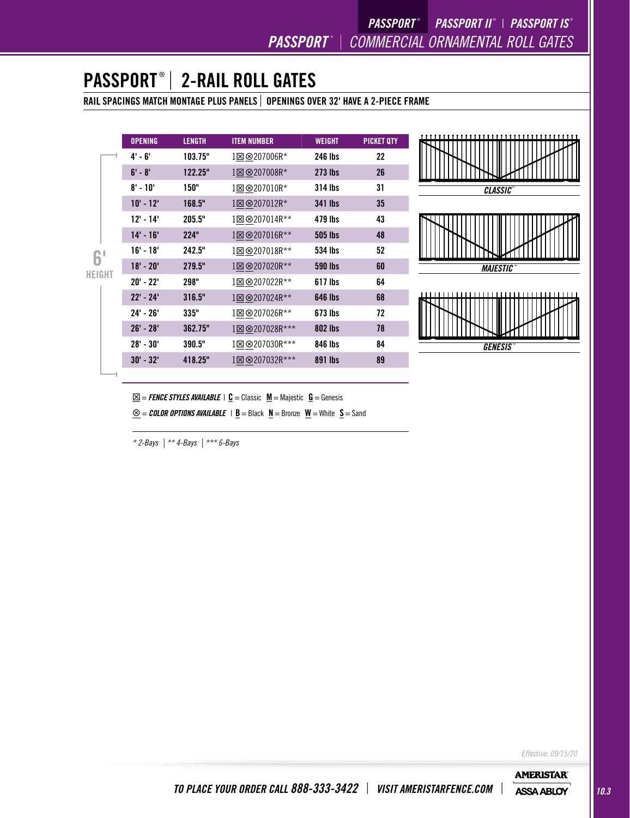# PASSPORT ® | 2-RAIL ROLL GATES

RAIL SPACINGS MATCH MONTAGE PLUS PANELS | OPENINGS OVER 32' HAVE A 2-PIECE FRAME

|        | <b>OPENING</b> | <b>LENGTH</b> | <b>ITEM NUMBER</b> | <b>WEIGHT</b>  | <b>PICKET QTY</b> |
|--------|----------------|---------------|--------------------|----------------|-------------------|
|        | 4' - 6'        | 103.75"       | 1⊠⊗207006R*        | 246 lbs        | 22                |
|        | $6' - 8'$      | 122.25"       | 1⊠ ⊗207008R*       | <b>273 lbs</b> | 26                |
|        | $8' - 10'$     | 150"          | 1⊠⊗207010R*        | 314 lbs        | 31                |
|        | $10' - 12'$    | 168.5"        | 1⊠⊗207012R*        | <b>341 lbs</b> | 35                |
|        | $12' - 14'$    | 205.5"        | 1⊠⊗207014R**       | 479 lbs        | 43                |
|        | $14' - 16'$    | 224"          | 1⊠⊗207016R**       | <b>505 lbs</b> | 48                |
|        | $16' - 18'$    | 242.5"        | 1⊠⊗207018R**       | 534 lbs        | 52                |
|        | $18' - 20'$    | 279.5"        | 1⊠⊗207020R**       | 590 lbs        | 60                |
| HEIGHT | $20' - 22'$    | 298"          | 1⊠⊗207022R**       | 617 lbs        | 64                |
|        | $22' - 24'$    | 316.5"        | 1⊠ ⊗207024R**      | <b>646 lbs</b> | 68                |
|        | 24' - 26'      | 335"          | 1⊠ ⊗207026R**      | 673 lbs        | 72                |
|        | $26' - 28'$    | 362.75"       | 1⊠⊗207028R***      | <b>802 lbs</b> | 78                |
|        | $28' - 30'$    | 390.5"        | 1⊠⊗207030R***      | 846 lbs        | 84                |
|        | $30' - 32'$    | 418.25"       | 1⊠⊗207032R***      | 891 lbs        | 89                |
|        |                |               |                    |                |                   |



*GENESIS* ™

 $\underline{\boxtimes}$  = *FENCE STYLES AVAILABLE* | **C** = Classic  $\underline{M}$  = Majestic  $\underline{G}$  = Genesis

 $\underline{\otimes}$  = *COLOR OPTIONS AVAILABLE* | **<u>B</u></u> = Black**  $\underline{N}$  **= Bronze**  $\underline{W}$  **= White**  $\underline{S}$  **= Sand** 

*\* 2-Bays | \*\* 4-Bays | \*\*\* 6-Bays*

*Effective: 09/15/20*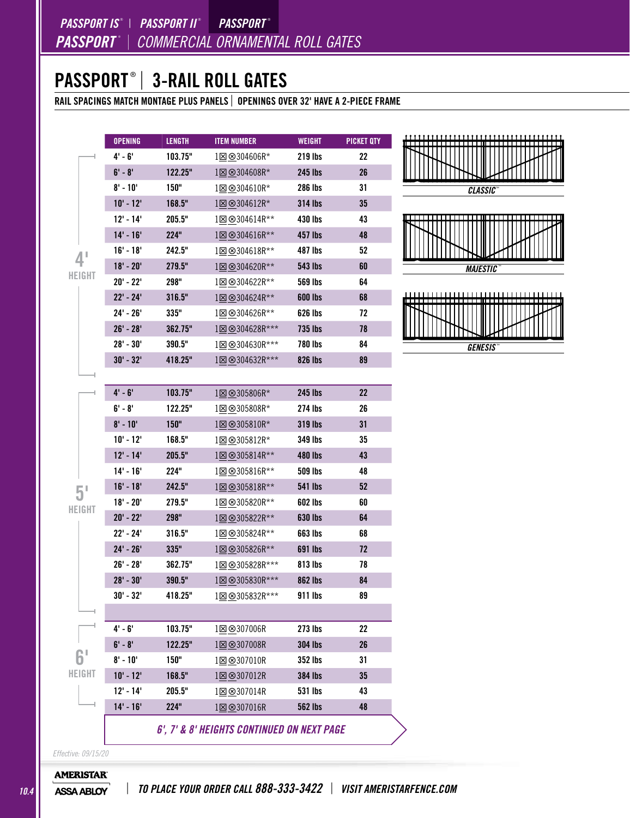# PASSPORT ® | 3-RAIL ROLL GATES

RAIL SPACINGS MATCH MONTAGE PLUS PANELS | OPENINGS OVER 32' HAVE A 2-PIECE FRAME

|                                     | <b>OPENING</b> | <b>LENGTH</b> | <b>ITEM NUMBER</b>                         | WEIGHT         | <b>PICKET QTY</b> |
|-------------------------------------|----------------|---------------|--------------------------------------------|----------------|-------------------|
|                                     | $4' - 6'$      | 103.75"       | 1⊠ ⊗304606R*                               | 219 lbs        | 22                |
|                                     | $6' - 8'$      | 122.25"       | 1⊠ <sup>⊗</sup> 304608R*                   | <b>245 lbs</b> | 26                |
|                                     | $8' - 10'$     | 150"          | 1⊠ ⊗304610R*                               | <b>286 lbs</b> | 31                |
|                                     | $10' - 12'$    | 168.5"        | 1⊠⊗304612R*                                | <b>314 lbs</b> | 35                |
|                                     | $12' - 14'$    | 205.5"        | 1⊠ <sup>®</sup> 304614R**                  | 430 lbs        | 43                |
|                                     | $14' - 16'$    | 224"          | 1⊠ ⊗304616R**                              | 457 lbs        | 48                |
| $\mathbf{1}^{\mathsf{T}}$<br>HEIGHT | $16' - 18'$    | 242.5"        | 1⊠ ⊗304618R**                              | 487 lbs        | 52                |
|                                     | $18' - 20'$    | 279.5"        | 1⊠ ⊗304620R**                              | <b>543 lbs</b> | 60                |
|                                     | $20' - 22'$    | 298"          | 1⊠⊗304622R**                               | 569 lbs        | 64                |
|                                     | $22' - 24'$    | 316.5"        | 1⊠ ⊗304624R**                              | <b>600 lbs</b> | 68                |
|                                     | $24' - 26'$    | 335"          | 1⊠⊗304626R**                               | 626 lbs        | 72                |
|                                     | $26' - 28'$    | 362.75"       | 1⊠ ⊗304628R***                             | <b>735 lbs</b> | 78                |
|                                     | $28' - 30'$    | 390.5"        | 1⊠⊗304630R***                              | <b>780 lbs</b> | 84                |
|                                     | $30' - 32'$    | 418.25"       | 1図 <sup>⊗</sup> 304632R***                 | 826 lbs        | 89                |
|                                     |                |               |                                            |                |                   |
|                                     | $4' - 6'$      | 103.75"       | 1⊠⊗305806R*                                | 245 lbs        | 22                |
|                                     | $6' - 8'$      | 122.25"       | 1⊠ ⊗305808R*                               | 274 lbs        | 26                |
|                                     | $8' - 10'$     | 150"          | $1\boxtimes \otimes 305810R^*$             | 319 lbs        | 31                |
|                                     | $10' - 12'$    | 168.5"        | 1⊠ ⊗305812R*                               | 349 lbs        | 35                |
|                                     | $12' - 14'$    | 205.5"        | 1⊠ <sup>®</sup> 305814R**                  | 480 lbs        | 43                |
|                                     | $14' - 16'$    | 224"          | 1⊠⊗305816R**                               | 509 lbs        | 48                |
| 5 <sup>1</sup>                      | $16' - 18'$    | 242.5"        | 188305818R**                               | 541 Ibs        | 52                |
| HEIGHT                              | $18' - 20'$    | 279.5"        | 1⊠⊗305820R**                               | 602 lbs        | 60                |
|                                     | $20' - 22'$    | 298"          | 1⊠ ⊗305822R**                              | 630 lbs        | 64                |
|                                     | $22' - 24'$    | 316.5"        | 1⊠ ⊗305824R**                              | 663 lbs        | 68                |
|                                     | $24' - 26'$    | 335"          | 1⊠ ⊗305826R**                              | 691 lbs        | 72                |
|                                     | $26' - 28'$    | 362.75"       | 1⊠ ⊗305828R***                             | 813 lbs        | 78                |
|                                     | $28' - 30'$    | 390.5"        | 188305830R***                              | <b>862 lbs</b> | 84                |
|                                     | $30' - 32'$    | 418.25"       | 1図 8305832R***                             | 911 lbs        | 89                |
|                                     |                |               |                                            |                |                   |
|                                     | $4' - 6'$      | 103.75"       | 1図 8307006R                                | <b>273 lbs</b> | 22                |
| м                                   | $6' - 8'$      | 122.25"       | 1図 <sup>⊗</sup> 307008R                    | <b>304 lbs</b> | 26                |
|                                     | $8' - 10'$     | 150"          | 1図 8307010R                                | <b>352 lbs</b> | 31                |
| HEIGHT                              | $10' - 12'$    | 168.5"        | 1⊠ ⊗307012R                                | <b>384 lbs</b> | 35                |
|                                     | $12' - 14'$    | 205.5"        | 1図 8307014R                                | 531 lbs        | 43                |
|                                     | $14' - 16'$    | 224"          | 1図 8307016R                                | <b>562 lbs</b> | 48                |
|                                     |                |               | 6', 7' & 8' HEIGHTS CONTINUED ON NEXT PAGE |                |                   |



*GENESIS* ™

*Effective: 09/15/20*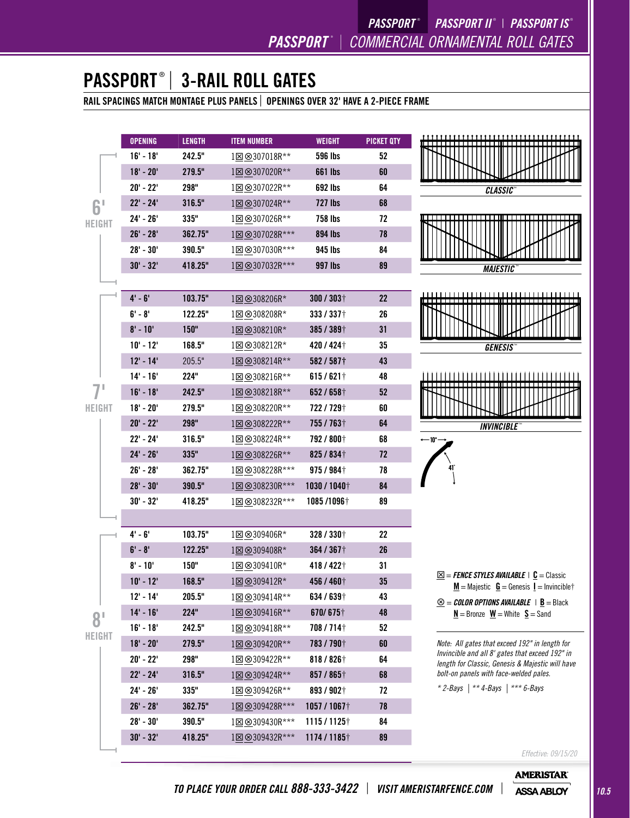# PASSPORT ® | 3-RAIL ROLL GATES

RAIL SPACINGS MATCH MONTAGE PLUS PANELS | OPENINGS OVER 32' HAVE A 2-PIECE FRAME

|                                 | <b>OPENING</b> | <b>LENGTH</b> | <b>ITEM NUMBER</b>         | <b>WEIGHT</b>            | <b>PICKET QTY</b> |                                                                                                                                |
|---------------------------------|----------------|---------------|----------------------------|--------------------------|-------------------|--------------------------------------------------------------------------------------------------------------------------------|
|                                 | $16' - 18'$    | 242.5"        | 1図 8307018R**              | <b>596 lbs</b>           | 52                |                                                                                                                                |
|                                 | $18' - 20'$    | 279.5"        | 1⊠ <sup>⊗</sup> 307020R**  | <b>661 lbs</b>           | 60                |                                                                                                                                |
|                                 | $20' - 22'$    | 298"          | 1⊠ <sup>⊗</sup> 307022R**  | 692 lbs                  | 64                | <b>CLASSIC</b>                                                                                                                 |
| ΩI<br>n<br>HEIGHT               | $22' - 24'$    | 316.5"        | 1⊠ <sup>®</sup> 307024R**  | <b>727 lbs</b>           | 68                |                                                                                                                                |
|                                 | $24' - 26'$    | 335"          | 1⊠ ⊗307026R**              | <b>758 lbs</b>           | 72                | ----------------------------------                                                                                             |
|                                 | $26' - 28'$    | 362.75"       | 1図 <sup>⊗</sup> 307028R*** | 894 lbs                  | 78                |                                                                                                                                |
|                                 | $28' - 30'$    | 390.5"        | 1⊠ ⊗307030R***             | 945 lbs                  | 84                |                                                                                                                                |
|                                 | $30' - 32'$    | 418.25"       | 1図 8307032R***             | 997 lbs                  | 89                | <b>MAJESTIC</b>                                                                                                                |
|                                 |                |               |                            |                          |                   |                                                                                                                                |
|                                 | $4' - 6'$      | 103.75"       | 1⊠ ⊗308206R*               | $300 / 303$ <sup>+</sup> | 22                |                                                                                                                                |
|                                 | $6' - 8'$      | 122.25"       | 1⊠ ⊗308208R*               | 333 / 337 +              | 26                |                                                                                                                                |
|                                 | $8' - 10'$     | 150"          | 1⊠ ⊗308210R*               | 385 / 389+               | 31                |                                                                                                                                |
|                                 | $10' - 12'$    | 168.5"        | 1⊠ ⊗308212R*               | 420 / 424 +              | 35                | <b>GENESIS</b>                                                                                                                 |
|                                 | $12' - 14'$    | 205.5"        | 1⊠ <sup>8308214R**</sup>   | 582/5871                 | 43                |                                                                                                                                |
|                                 | $14' - 16'$    | 224"          | 1⊠⊗308216R**               | $615/621$ <sup>+</sup>   | 48                | ,,,,,,,,,,,,,,,,,,                                                                                                             |
| HEIGHT                          | $16' - 18'$    | 242.5"        | 1⊠ ⊗308218R**              | 652/658+                 | 52                |                                                                                                                                |
|                                 | $18' - 20'$    | 279.5"        | 1⊠ ⊗308220R**              | 722/729+                 | 60                |                                                                                                                                |
|                                 | $20' - 22'$    | 298"          | 1図 8308222R**              | 755/763+                 | 64                | <b>INVINCIBLE</b>                                                                                                              |
|                                 | $22' - 24'$    | 316.5"        | 1⊠⊗308224R**               | 792 / 800+               | 68                | ← 10 –                                                                                                                         |
|                                 | $24' - 26'$    | 335"          | 1⊠ <sup>®</sup> 308226R**  | 825 / 834 +              | 72                |                                                                                                                                |
|                                 | $26' - 28'$    | 362.75"       | 1⊠ ⊗308228R***             | 975 / 984+               | 78                |                                                                                                                                |
|                                 | $28' - 30'$    | 390.5"        | 1⊠⊗308230R***              | 1030 / 1040 $\dagger$    | 84                |                                                                                                                                |
|                                 | $30' - 32'$    | 418.25"       | 1⊠ ⊗308232R***             | 1085/1096+               | 89                |                                                                                                                                |
|                                 |                |               |                            |                          |                   |                                                                                                                                |
|                                 | $4' - 6'$      | 103.75"       | 1⊠ ⊗309406R*               | 328 / 330+               | 22                |                                                                                                                                |
|                                 | $6' - 8'$      | 122.25"       | 1⊠ ⊗309408R*               | 364 / 367+               | 26                |                                                                                                                                |
|                                 | $8' - 10'$     | 150"          | 1⊠ ⊗309410R*               | 418 / 422 +              | 31                |                                                                                                                                |
|                                 | $10' - 12'$    | 168.5"        | 1図 8309412R*               | 456 / 460+               | 35                | $\underline{\boxtimes}$ = <b>FENCE STYLES AVAILABLE</b>   <b>C</b> = Classic<br>$M =$ Majestic $G =$ Genesis $I =$ Invincible† |
|                                 | $12' - 14'$    | 205.5"        | 1⊠ <sup>®</sup> 309414R**  | 634 / 639†               | 43                | $\underline{\otimes}$ = COLOR OPTIONS AVAILABLE   <u>B</u> = Black                                                             |
| $\bf 8^{\scriptscriptstyle{l}}$ | $14' - 16'$    | 224"          | 1⊠ <sup>8309416R**</sup>   | 670/675†                 | 48                | $N =$ Bronze $W =$ White $S =$ Sand                                                                                            |
|                                 | $16' - 18'$    | 242.5"        | 1⊠ ⊗309418R**              | 708/714+                 | 52                |                                                                                                                                |
| HEIGHT                          | $18' - 20'$    | 279.5"        | 1⊠ ⊗309420R**              | 783 / 790+               | 60                | Note: All gates that exceed 192" in length for                                                                                 |
|                                 | $20' - 22'$    | 298"          | 1⊠⊗309422R**               | $818/826$ <sup>+</sup>   | 64                | Invincible and all 8' gates that exceed 192" in<br>length for Classic, Genesis & Majestic will have                            |
|                                 | $22' - 24'$    | 316.5"        | 1⊠ ⊗309424R**              | 857 / 865+               | 68                | bolt-on panels with face-welded pales.                                                                                         |
|                                 | $24' - 26'$    | 335"          | 1⊠⊗309426R**               | 893 / 902+               | 72                | * 2-Bays   ** 4-Bays   *** 6-Bays                                                                                              |
|                                 | $26' - 28'$    | 362.75"       | 1⊠ <sup>⊗</sup> 309428R*** | 1057/1067†               | 78                |                                                                                                                                |
|                                 | $28' - 30'$    | 390.5"        | 128 8309430R***            | $1115/1125$ †            | 84                |                                                                                                                                |
|                                 | $30' - 32'$    | 418.25"       | 1図 <sup>⊗</sup> 309432R*** | 1174 / 1185+             | 89                |                                                                                                                                |
|                                 |                |               |                            |                          |                   | $Fff$ ortivo, $09/15/20$                                                                                                       |

*Effective: 09/15/20*

**AMERISTAR**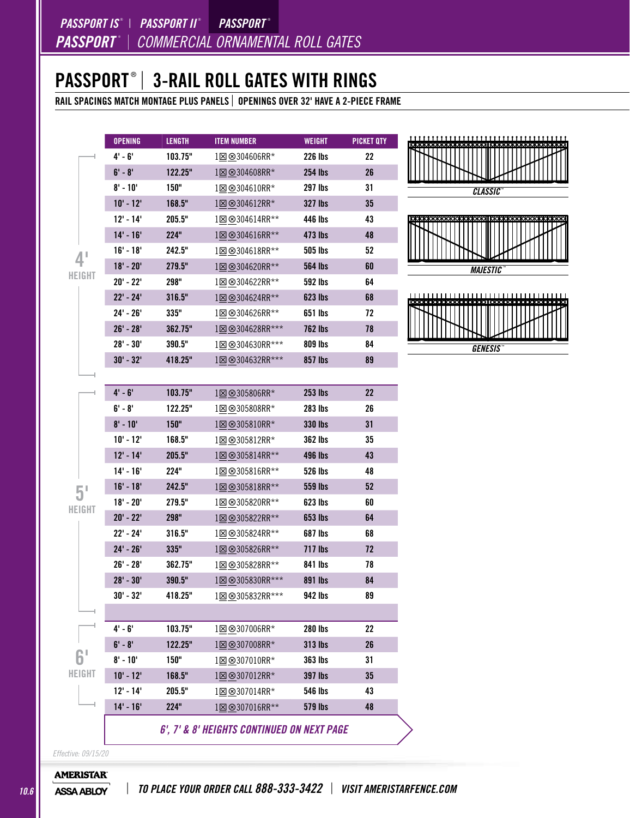### PASSPORT ® | 3-RAIL ROLL GATES WITH RINGS

RAIL SPACINGS MATCH MONTAGE PLUS PANELS | OPENINGS OVER 32' HAVE A 2-PIECE FRAME

|                | <b>OPENING</b> | <b>LENGTH</b> | <b>ITEM NUMBER</b>          | <b>WEIGHT</b>  | <b>PICKET QTY</b> |
|----------------|----------------|---------------|-----------------------------|----------------|-------------------|
|                | $4' - 6'$      | 103.75"       | 1⊠ ⊗304606RR*               | 226 lbs        | 22                |
|                | $6' - 8'$      | 122.25"       | 1⊠ ⊗304608RR*               | 254 lbs        | 26                |
|                | $8' - 10'$     | 150"          | 1⊠ ⊗304610RR*               | 297 lbs        | 31                |
|                | $10' - 12'$    | 168.5"        | 1⊠ ⊗304612RR*               | <b>327 lbs</b> | 35                |
|                | $12' - 14'$    | 205.5"        | 1⊠ <sup>®</sup> 304614RR**  | 446 lbs        | 43                |
|                | $14' - 16'$    | 224"          | 1⊠ ⊗304616RR**              | 473 lbs        | 48                |
| П              | $16' - 18'$    | 242.5"        | 1⊠⊗304618RR**               | 505 lbs        | 52                |
|                | $18' - 20'$    | 279.5"        | 1⊠ ⊗304620RR**              | 564 lbs        | 60                |
| HEIGHT         | $20' - 22'$    | 298"          | 1図 8304622RR**              | 592 lbs        | 64                |
|                | $22' - 24'$    | 316.5"        | 1⊠ ⊗304624RR**              | <b>623 lbs</b> | 68                |
|                | $24' - 26'$    | 335"          | 1⊠ ⊗304626RR**              | 651 lbs        | 72                |
|                | $26' - 28'$    | 362.75"       | 1⊠ ⊗304628RR***             | <b>762 lbs</b> | 78                |
|                | $28' - 30'$    | 390.5"        | 1⊠⊗304630RR***              | 809 lbs        | 84                |
|                | $30' - 32'$    | 418.25"       | 1 <sup>8</sup> 9304632RR*** | 857 lbs        | 89                |
|                |                |               |                             |                |                   |
|                | $4' - 6'$      | 103.75"       | 1⊠⊗305806RR*                | <b>253 lbs</b> | 22                |
|                | $6' - 8'$      | 122.25"       | 1⊠ ⊗305808RR*               | <b>283 lbs</b> | 26                |
|                | $8' - 10'$     | 150"          | 1⊠ <sup>⊗</sup> 305810RR*   | <b>330 lbs</b> | 31                |
|                | $10' - 12'$    | 168.5"        | 1⊠⊗305812RR*                | <b>362 lbs</b> | 35                |
|                | $12' - 14'$    | 205.5"        | 1⊠ <sup>⊗</sup> 305814RR**  | <b>496 lbs</b> | 43                |
|                | $14' - 16'$    | 224"          | 1⊠ ⊗305816RR**              | <b>526 lbs</b> | 48                |
|                | $16' - 18'$    | 242.5"        | 1⊠ ⊗305818RR**              | <b>559 lbs</b> | 52                |
| 5 <sup>1</sup> | $18' - 20'$    | 279.5"        | 1⊠ ⊗305820RR**              | 623 lbs        | 60                |
| HEIGHT         | $20' - 22'$    | 298"          | 1⊠ ⊗305822RR**              | <b>653 lbs</b> | 64                |
|                | $22' - 24'$    | 316.5"        | 1⊠ ⊗305824RR**              | <b>687 lbs</b> | 68                |
|                | $24' - 26'$    | 335"          | 1⊠ <sup>®</sup> 305826RR**  | 717 lbs        | 72                |
|                | $26' - 28'$    | 362.75"       | 1図 8305828RR**              | 841 lbs        | 78                |
|                | $28' - 30'$    | 390.5"        | 1図 8305830RR***             | 891 lbs        | 84                |
|                | 30' - 32'      | 418.25"       | 1 <b>8</b> 9305832RR***     | 942 lbs        | 89                |
|                |                |               |                             |                |                   |
|                | $4' - 6'$      | 103.75"       | 1図 8307006RR*               | 280 lbs        | 22                |
|                | $6' - 8'$      | 122.25"       | 1⊠ ⊗307008RR*               | <b>313 lbs</b> | 26                |
|                | $8' - 10'$     | 150"          | 1⊠⊗307010RR*                | 363 lbs        | 31                |
| HEIGHT         | $10' - 12'$    | 168.5"        | 1⊠ <sup>⊗</sup> 307012RR*   | <b>397 lbs</b> | 35                |
|                | $12' - 14'$    | 205.5"        | 1⊠⊗307014RR*                | <b>546 lbs</b> | 43                |
|                | $14' - 16'$    | 224"          | 1⊠ <sup>®</sup> 307016RR**  | <b>579 lbs</b> | 48                |



*GENESIS* ™

*Effective: 09/15/20*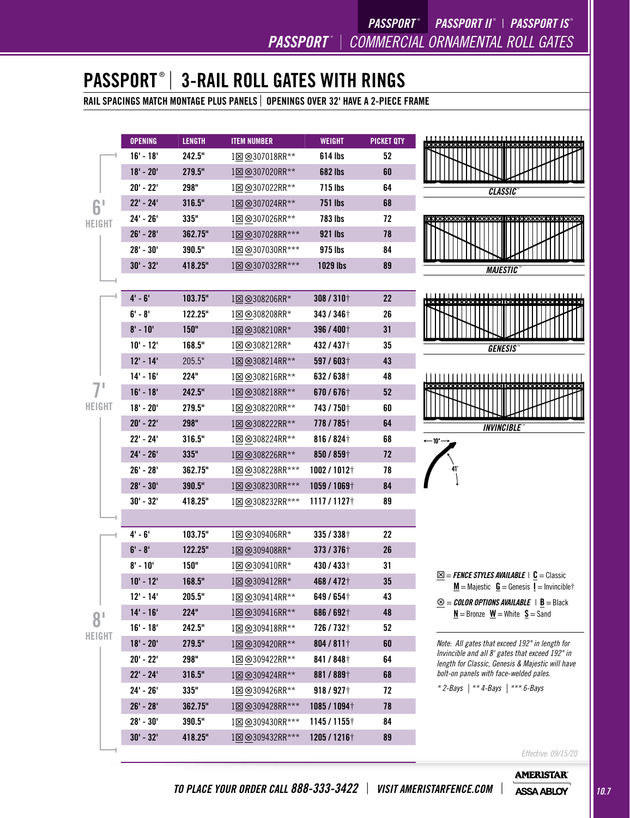

*Effective: 09/15/20* **AMERISTAR**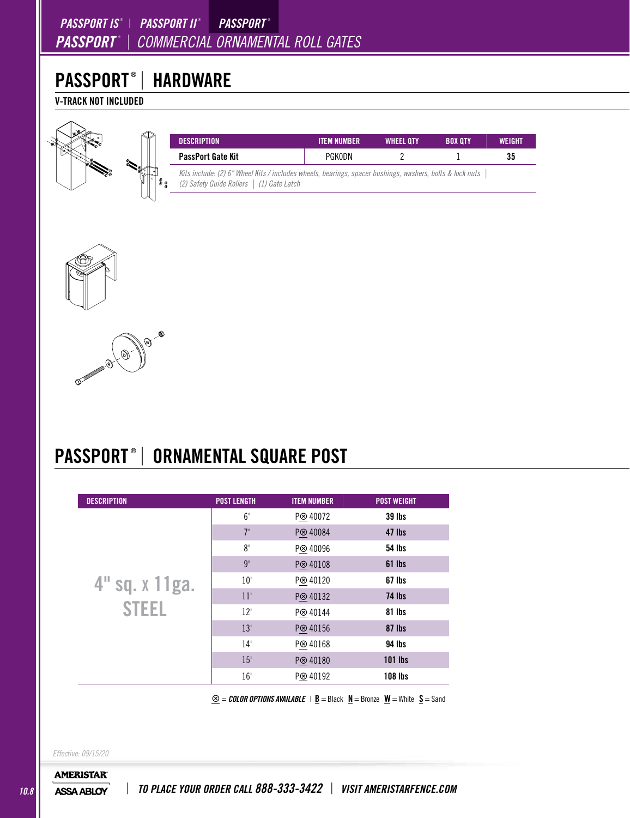### *PASSPORT* ® <sup>|</sup> *COMMERCIAL ORNAMENTAL ROLL GATES PASSPORT IS* ® | *PASSPORT II* ®  *PASSPORT* ®

# PASSPORT® | HARDWARE

V-TRACK NOT INCLUDED



| <b>DESCRIPTION</b>                                                                                                                                    |  | <b>ITEM NUMBER</b> | <b>WHEEL OTY</b> | <b>BOX OTY</b> | <b>WEIGHT</b> |
|-------------------------------------------------------------------------------------------------------------------------------------------------------|--|--------------------|------------------|----------------|---------------|
| <b>PassPort Gate Kit</b>                                                                                                                              |  | PGKODN             |                  |                | 35            |
| Kits include: (2) 6" Wheel Kits / includes wheels, bearings, spacer bushings, washers, bolts & lock nuts<br>(2) Safety Guide Rollers   (1) Gate Latch |  |                    |                  |                |               |





# PASSPORT ® | ORNAMENTAL SQUARE POST

| <b>DESCRIPTION</b> | <b>POST LENGTH</b> | <b>ITEM NUMBER</b>   | <b>POST WEIGHT</b> |
|--------------------|--------------------|----------------------|--------------------|
|                    | 6'                 | P <sup>®</sup> 40072 | <b>39 lbs</b>      |
|                    | 7'                 | P <sup>®</sup> 40084 | 47 lbs             |
|                    | 8'                 | P <sup>⊗</sup> 40096 | <b>54 lbs</b>      |
|                    | 9'                 | P <sup>®</sup> 40108 | 61 lbs             |
| 4" sq. x 11ga.     | 10'                | P <sup>®</sup> 40120 | 67 lbs             |
|                    | 11'                | P <sup>⊗</sup> 40132 | 74 lbs             |
| <b>STEEL</b>       | 12'                | P <sup>®</sup> 40144 | 81 lbs             |
|                    | 13'                | P <sup>®</sup> 40156 | 87 lbs             |
|                    | 14'                | P <sup>®</sup> 40168 | <b>94 lbs</b>      |
|                    | 15'                | P <sup>®</sup> 40180 | $101$ lbs          |
|                    | 16'                | P <sup>®</sup> 40192 | <b>108 lbs</b>     |

 $\underline{\otimes}$  = *COLOR OPTIONS AVAILABLE* | **<u>B</u>** = Black  $\underline{N}$  = Bronze  $\underline{W}$  = White  $\underline{S}$  = Sand

*Effective: 09/15/20*

**AMERISTAR**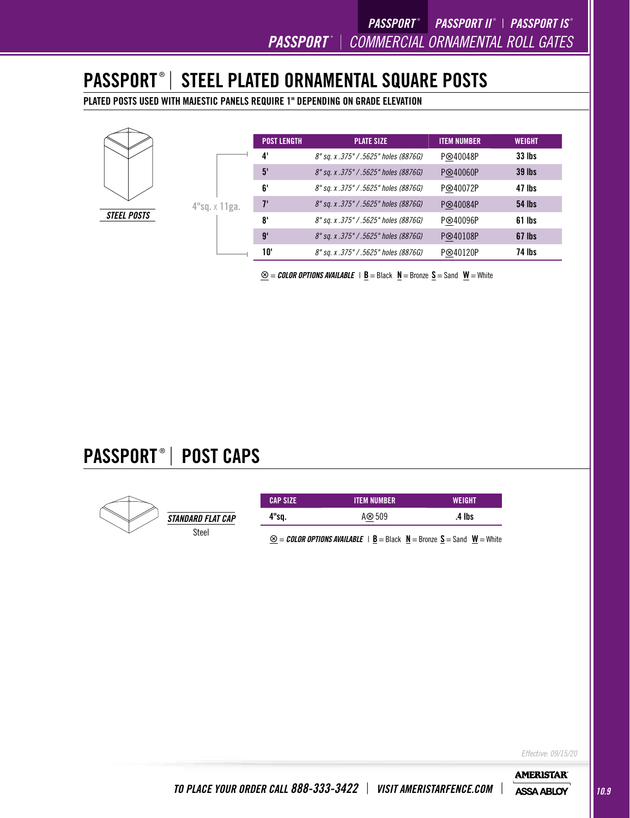# PASSPORT ® | STEEL PLATED ORNAMENTAL SQUARE POSTS

PLATED POSTS USED WITH MAJESTIC PANELS REQUIRE 1" DEPENDING ON GRADE ELEVATION



|                  | <b>POST LENGTH</b> | <b>PLATE SIZE</b>                     | <b>ITEM NUMBER</b>   | <b>WEIGHT</b> |
|------------------|--------------------|---------------------------------------|----------------------|---------------|
|                  | 4'                 | 8" sq. x .375" / .5625" holes (8876G) | P <sup>⊗40048P</sup> | <b>33 lbs</b> |
|                  | 5'                 | 8" sq. x .375" / .5625" holes (8876G) | P⊗40060P             | <b>39 lbs</b> |
|                  | 6'                 | 8" sq. x .375" / .5625" holes (8876G) | P⊗40072P             | 47 lbs        |
| $4"$ sq. x 11ga. | $7^{\circ}$        | 8" sq. x .375" / .5625" holes (8876G) | P⊗40084P             | <b>54 lbs</b> |
|                  | 8'                 | 8" sq. x .375" / .5625" holes (8876G) | P⊗40096P             | 61 lbs        |
|                  | 9'                 | 8" sq. x .375" / .5625" holes (8876G) | P⊗40108P             | 67 lbs        |
|                  | 10'                | 8" sq. x .375" / .5625" holes (8876G) | P⊗40120P             | 74 lbs        |

 $\mathcal{L} = \mathcal{L}$ **OLOR OPTIONS AVAILABLE** | **B** = Black **N** = Bronze **S** = Sand **W** = White

# PASSPORT ® | POST CAPS



| <b>CAP SIZE</b> | <b>ITEM NUMBER</b> |  | <b>WEIGHT</b> |        |  |
|-----------------|--------------------|--|---------------|--------|--|
| 4"sq.           | A $\otimes$ 509    |  |               | .4 lbs |  |
| ⌒               |                    |  |               |        |  |

 $\otimes$  = *COLOR OPTIONS AVAILABLE* | B = Black  $N$  = Bronze S = Sand  $W$  = White

*Effective: 09/15/20*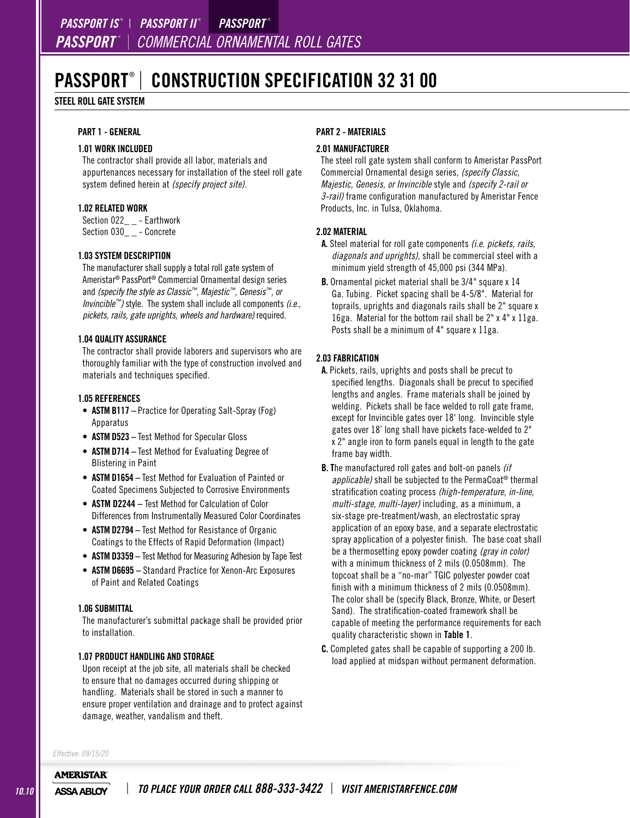## PASSPORT® | CONSTRUCTION SPECIFICATION 32 31 00

#### STEEL ROLL GATE SYSTEM

### PART 1 - GENERAL

### 1.01 WORK INCLUDED

The contractor shall provide all labor, materials and appurtenances necessary for installation of the steel roll gate system defined herein at *(specify project site).*

#### 1.02 RELATED WORK

Section 022\_\_ - Earthwork Section 030\_ \_ - Concrete

#### 1.03 SYSTEM DESCRIPTION

The manufacturer shall supply a total roll gate system of Ameristar® PassPort® Commercial Ornamental design series and *(specify the style as Classic™, Majestic™, Genesis™, or Invincible™)* style. The system shall include all components *(i.e., pickets, rails, gate uprights, wheels and hardware)* required.

#### 1.04 QUALITY ASSURANCE

The contractor shall provide laborers and supervisors who are thoroughly familiar with the type of construction involved and materials and techniques specified.

#### 1.05 REFERENCES

- **ASTM B117** Practice for Operating Salt-Spray (Fog) Apparatus
- ASTM D523 Test Method for Specular Gloss
- ASTM D714 Test Method for Evaluating Degree of Blistering in Paint
- ASTM D1654 Test Method for Evaluation of Painted or Coated Specimens Subjected to Corrosive Environments
- ASTM D2244 Test Method for Calculation of Color Differences from Instrumentally Measured Color Coordinates
- ASTM D2794 Test Method for Resistance of Organic Coatings to the Effects of Rapid Deformation (Impact)
- ASTM D3359 Test Method for Measuring Adhesion by Tape Test
- ASTM D6695 Standard Practice for Xenon-Arc Exposures of Paint and Related Coatings

#### 1.06 SUBMITTAL

The manufacturer's submittal package shall be provided prior to installation.

#### 1.07 PRODUCT HANDLING AND STORAGE

Upon receipt at the job site, all materials shall be checked to ensure that no damages occurred during shipping or handling. Materials shall be stored in such a manner to ensure proper ventilation and drainage and to protect against damage, weather, vandalism and theft.

#### PART 2 - MATERIALS

#### 2.01 MANUFACTURER

The steel roll gate system shall conform to Ameristar PassPort Commercial Ornamental design series, *(specify Classic, Majestic, Genesis, or Invincible* style and *(specify 2-rail or 3-rail)* frame configuration manufactured by Ameristar Fence Products, Inc. in Tulsa, Oklahoma.

#### 2.02 MATERIAL

- A. Steel material for roll gate components *(i.e. pickets, rails, diagonals and uprights),* shall be commercial steel with a minimum yield strength of 45,000 psi (344 MPa).
- B. Ornamental picket material shall be 3/4" square x 14 Ga. Tubing. Picket spacing shall be 4-5/8". Material for toprails, uprights and diagonals rails shall be 2" square x 16ga. Material for the bottom rail shall be 2" x 4" x 11ga. Posts shall be a minimum of 4" square x 11ga.

#### 2.03 FABRICATION

- A. Pickets, rails, uprights and posts shall be precut to specified lengths. Diagonals shall be precut to specified lengths and angles. Frame materials shall be joined by welding. Pickets shall be face welded to roll gate frame, except for Invincible gates over 18' long. Invincible style gates over 18' long shall have pickets face-welded to 2" x 2" angle iron to form panels equal in length to the gate frame bay width.
- B. The manufactured roll gates and bolt-on panels *(if applicable)* shall be subjected to the PermaCoat® thermal stratification coating process *(high-temperature, in-line, multi-stage, multi-layer)* including, as a minimum, a six-stage pre-treatment/wash, an electrostatic spray application of an epoxy base, and a separate electrostatic spray application of a polyester finish. The base coat shall be a thermosetting epoxy powder coating *(gray in color)* with a minimum thickness of 2 mils (0.0508mm). The topcoat shall be a "no-mar" TGIC polyester powder coat finish with a minimum thickness of 2 mils (0.0508mm). The color shall be (specify Black, Bronze, White, or Desert Sand). The stratification-coated framework shall be capable of meeting the performance requirements for each quality characteristic shown in Table 1.
- C. Completed gates shall be capable of supporting a 200 lb. load applied at midspan without permanent deformation.

*Effective: 09/15/20* **AMERISTAR**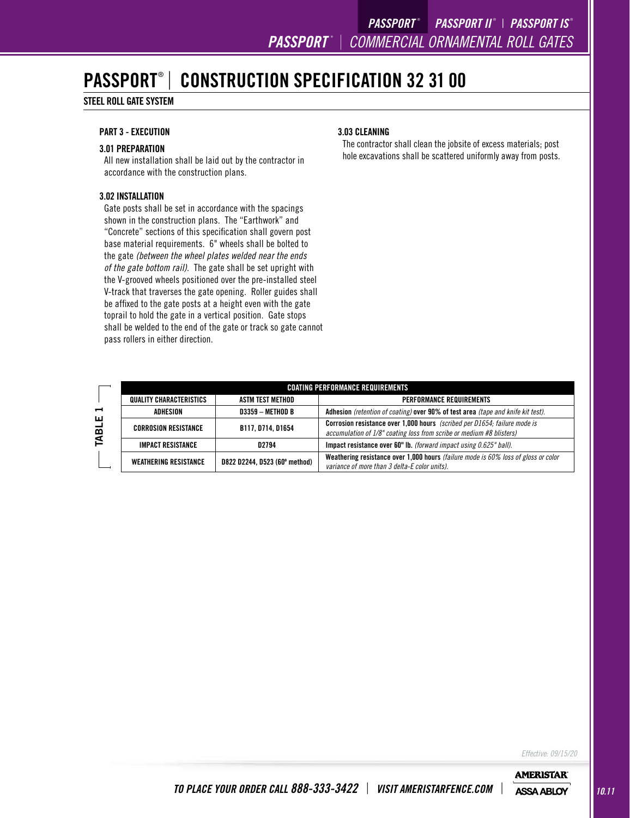## PASSPORT® | CONSTRUCTION SPECIFICATION 32 31 00

### STEEL ROLL GATE SYSTEM

### PART 3 - EXECUTION

### 3.01 PREPARATION

All new installation shall be laid out by the contractor in accordance with the construction plans.

#### 3.02 INSTALLATION

Gate posts shall be set in accordance with the spacings shown in the construction plans. The "Earthwork" and "Concrete" sections of this specification shall govern post base material requirements. 6" wheels shall be bolted to the gate *(between the wheel plates welded near the ends of the gate bottom rail)*. The gate shall be set upright with the V-grooved wheels positioned over the pre-installed steel V-track that traverses the gate opening. Roller guides shall be affixed to the gate posts at a height even with the gate toprail to hold the gate in a vertical position. Gate stops shall be welded to the end of the gate or track so gate cannot pass rollers in either direction.

#### 3.03 CLEANING

The contractor shall clean the jobsite of excess materials; post hole excavations shall be scattered uniformly away from posts.

|   | <b>COATING PERFORMANCE REQUIREMENTS</b> |                               |                                                                                                                                                          |  |
|---|-----------------------------------------|-------------------------------|----------------------------------------------------------------------------------------------------------------------------------------------------------|--|
|   | QUALITY CHARACTERISTICS                 | ASTM TEST METHOD              | <b>PERFORMANCE REQUIREMENTS</b>                                                                                                                          |  |
| ⊣ | ADHESION                                | <b>D3359 - METHOD B</b>       | Adhesion (retention of coating) over 90% of test area (tape and knife kit test).                                                                         |  |
| 닖 | <b>CORROSION RESISTANCE</b>             | B117, D714, D1654             | <b>Corrosion resistance over 1,000 hours</b> (scribed per D1654; failure mode is<br>accumulation of 1/8" coating loss from scribe or medium #8 blisters) |  |
| ≤ | <b>IMPACT RESISTANCE</b>                | D2794                         | Impact resistance over 60" lb. (forward impact using 0.625" ball).                                                                                       |  |
|   | <b>WEATHERING RESISTANCE</b>            | D822 D2244, D523 (60° method) | Weathering resistance over 1,000 hours (failure mode is 60% loss of gloss or color<br>variance of more than 3 delta-E color units).                      |  |

*Effective: 09/15/20*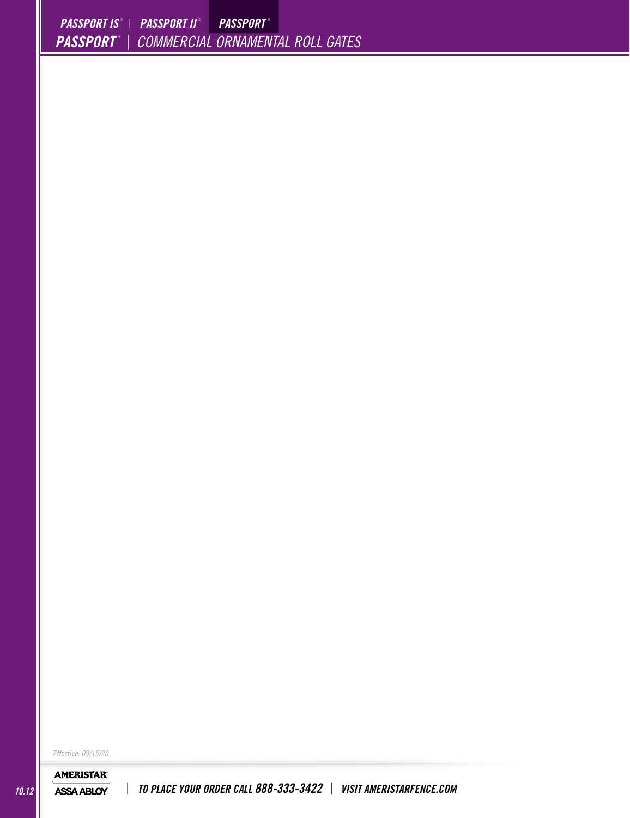*Effective: 09/15/20*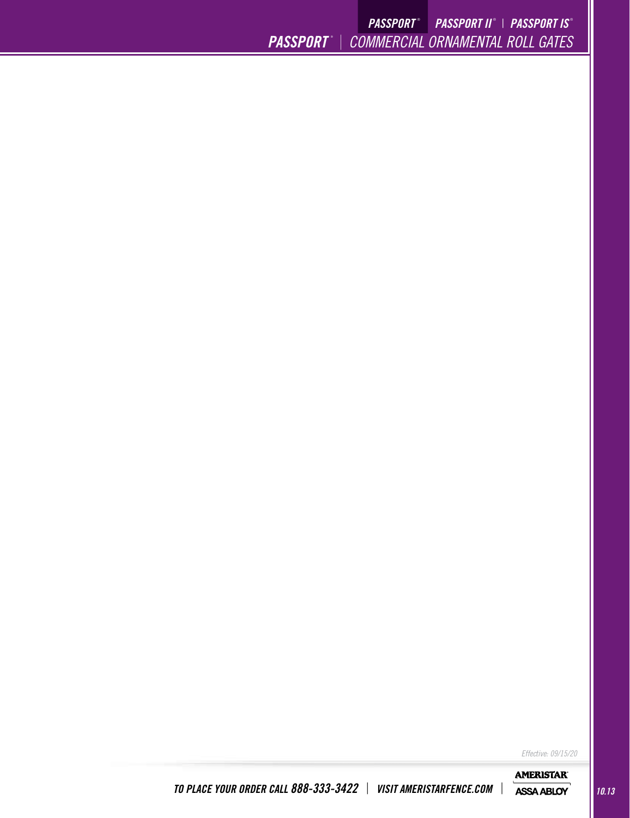*PASSPORT* ® <sup>|</sup> *COMMERCIAL ORNAMENTAL ROLL GATES PASSPORT* ®  *PASSPORT II* ® | *PASSPORT IS* ®

*Effective: 09/15/20*

**AMERISTAR®**